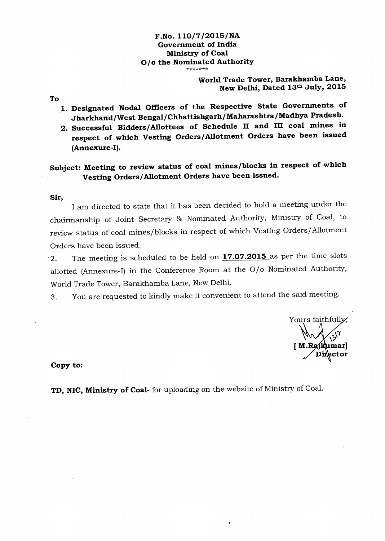## **F.No. 110/7/2015/NA Government of India Ministry of Coal O/o the Nominated Authority**

## **World Trade Tower, Barakhamba Lane, New Delhi, Dated 13th July, 2015**

**To** 

- **1. Designated Nodal Officers of the Respective State Governments of Jharkhand/ West Bengal/ Chhattishgarh/ Maharashtra/Madhya Pradesh.**
- **2. Successful Bidders/Allottees of Schedule II and III coal mines in respect of which Vesting Orders/Allotment Orders have been issued (Annexure -I).**

## **Subject: Meeting to review status of coal mines/blocks in respect of which Vesting Orders/Allotment Orders have been issued.**

## **Sir,**

I am directed to state that it has been decided to hold a meeting under the chairmanship of Joint Secretary & Nominated Authority, Ministry of Coal, to review status of coal mines/blocks in respect of which Vesting Orders/Allotment Orders have been issued.

2. The meeting is scheduled to be held on **17.07.2015** as per the time slots allotted (Annexure-I) in the Conference Room at the O/o Nominated Authority, World Trade Tower, Barakhamba Lane, New Delhi.

3. You are requested to kindly make it convenient to attend the said meeting.

Yours faithfully. **mar] ctor** 

**Copy to:** 

**TD, NIC, Ministry of Coal-** for uploading on the website of Ministry of Coal.